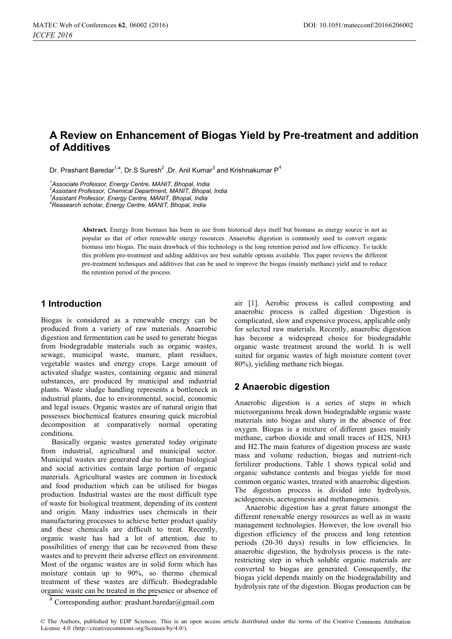# **A Review on Enhancement of Biogas Yield by Pre-treatment and addition of Additives**

Dr. Prashant Baredar<sup>1,a</sup>, Dr.S Suresh<sup>2</sup> ,Dr. Anil Kumar<sup>3</sup> and Krishnakumar P<sup>4</sup>

*1 Associate Professor, Energy Centre, MANIT, Bhopal, India* 

*2 Assistant Professor, Chemical Department, MANIT, Bhopal, India 3 Assistant Professor, Energy Centre, MANIT, Bhopal, India* 

*Reasearch scholar, Energy Centre, MANIT, Bhopal, India 4*

**Abstract.** Energy from biomass has been in use from historical days itself but biomass as energy source is not as popular as that of other renewable energy resources. Anaerobic digestion is commonly used to convert organic biomass into biogas. The main drawback of this technology is the long retention period and low efficiency. To tackle this problem pre-treatment and adding additives are best suitable options available. This paper reviews the different pre-treatment techniques and additives that can be used to improve the biogas (mainly methane) yield and to reduce the retention period of the process.

## **1 Introduction**

Biogas is considered as a renewable energy can be produced from a variety of raw materials. Anaerobic digestion and fermentation can be used to generate biogas from biodegradable materials such as organic wastes, sewage, municipal waste, manure, plant residues, vegetable wastes and energy crops. Large amount of activated sludge wastes, containing organic and mineral substances, are produced by municipal and industrial plants. Waste sludge handling represents a bottleneck in industrial plants, due to environmental, social, economic and legal issues. Organic wastes are of natural origin that possesses biochemical features ensuring quick microbial decomposition at comparatively normal operating conditions.

Basically organic wastes generated today originate from industrial, agricultural and municipal sector. Municipal wastes are generated due to human biological and social activities contain large portion of organic materials. Agricultural wastes are common in livestock and food production which can be utilised for biogas production. Industrial wastes are the most difficult type of waste for biological treatment, depending of its content and origin. Many industries uses chemicals in their manufacturing processes to achieve better product quality and these chemicals are difficult to treat. Recently, organic waste has had a lot of attention, due to possibilities of energy that can be recovered from these wastes and to prevent their adverse effect on environment. Most of the organic wastes are in solid form which has moisture contain up to 90%, so thermo chemical treatment of these wastes are difficult. Biodegradable organic waste can be treated in the presence or absence of

air [1]. Aerobic process is called composting and anaerobic process is called digestion. Digestion is complicated, slow and expensive process, applicable only for selected raw materials. Recently, anaerobic digestion has become a widespread choice for biodegradable organic waste treatment around the world. It is well suited for organic wastes of high moisture content (over 80%), yielding methane rich biogas.

## **2 Anaerobic digestion**

Anaerobic digestion is a series of steps in which microorganisms break down biodegradable organic waste materials into biogas and slurry in the absence of free oxygen. Biogas is a mixture of different gases mainly methane, carbon dioxide and small traces of H2S, NH3 and H2.The main features of digestion process are waste mass and volume reduction, biogas and nutrient-rich fertilizer productions. Table 1 shows typical solid and organic substance contents and biogas yields for most common organic wastes, treated with anaerobic digestion. The digestion process is divided into hydrolysis, acidogenesis, acetogenesis and methanogenesis.

Anaerobic digestion has a great future amongst the different renewable energy resources as well as in waste management technologies. However, the low overall bio digestion efficiency of the process and long retention periods (20-30 days) results in low efficiencies. In anaerobic digestion, the hydrolysis process is the raterestricting step in which soluble organic materials are converted to biogas are generated. Consequently, the biogas yield depends mainly on the biodegradability and hydrolysis rate of the digestion. Biogas production can be

Corresponding author: [prashant.baredar@gmail.com](mailto:prashant.baredar@gmail.com)

<sup>©</sup> The Authors, published by EDP Sciences. This is an open access article distributed under the terms of the Creative Commons Attribution License 4.0 [\(http://creativecommons.org/licenses/by/4.0/\).](http://creativecommons.org/licenses/by/4.0/)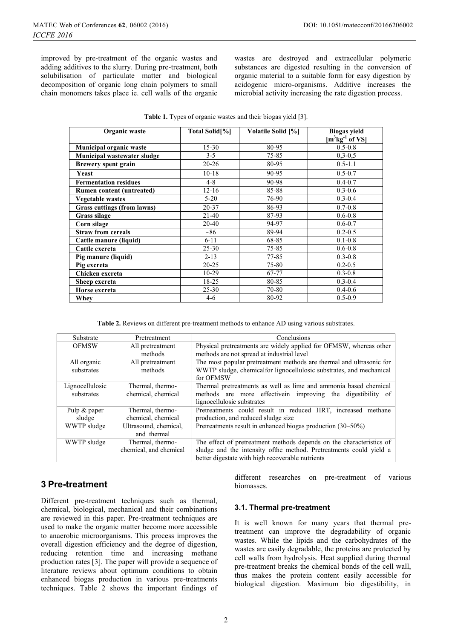improved by pre-treatment of the organic wastes and adding additives to the slurry. During pre-treatment, both solubilisation of particulate matter and biological decomposition of organic long chain polymers to small chain monomers takes place ie. cell walls of the organic

wastes are destroyed and extracellular polymeric substances are digested resulting in the conversion of organic material to a suitable form for easy digestion by acidogenic micro-organisms. Additive increases the microbial activity increasing the rate digestion process.

| Table 1. Types of organic wastes and their biogas yield [3]. |  |  |
|--------------------------------------------------------------|--|--|
|--------------------------------------------------------------|--|--|

| Organic waste                    | Total Solid <sup>[%]</sup> | Volatile Solid [%] | <b>Biogas</b> yield  |
|----------------------------------|----------------------------|--------------------|----------------------|
|                                  |                            |                    | $[m^3kg^{-1}$ of VS] |
| Municipal organic waste          | $15 - 30$                  | 80-95              | $0.5 - 0.8$          |
| Municipal wastewater sludge      | $3 - 5$                    | 75-85              | $0,3-0,5$            |
| <b>Brewery spent grain</b>       | $20 - 26$                  | 80-95              | $0.5 - 1.1$          |
| Yeast                            | $10 - 18$                  | 90-95              | $0.5 - 0.7$          |
| <b>Fermentation residues</b>     | $4 - 8$                    | 90-98              | $0.4 - 0.7$          |
| <b>Rumen content (untreated)</b> | $12 - 16$                  | 85-88              | $0.3 - 0.6$          |
| <b>Vegetable wastes</b>          | $5 - 20$                   | 76-90              | $0.3 - 0.4$          |
| Grass cuttings (from lawns)      | $20 - 37$                  | 86-93              | $0.7 - 0.8$          |
| Grass silage                     | $21 - 40$                  | 87-93              | $0.6 - 0.8$          |
| Corn silage                      | 20-40                      | 94-97              | $0.6 - 0.7$          |
| <b>Straw from cereals</b>        | $~10^{-8}$                 | 89-94              | $0.2 - 0.5$          |
| Cattle manure (liquid)           | $6 - 11$                   | 68-85              | $0.1 - 0.8$          |
| Cattle excreta                   | $25 - 30$                  | 75-85              | $0.6 - 0.8$          |
| Pig manure (liquid)              | $2 - 13$                   | $77 - 85$          | $0.3 - 0.8$          |
| Pig excreta                      | $20 - 25$                  | 75-80              | $0.2 - 0.5$          |
| Chicken excreta                  | $10-29$                    | 67-77              | $0.3 - 0.8$          |
| Sheep excreta                    | 18-25                      | 80-85              | $0.3 - 0.4$          |
| Horse excreta                    | $25 - 30$                  | 70-80              | $0.4 - 0.6$          |
| Whev                             | $4 - 6$                    | 80-92              | $0.5 - 0.9$          |

**Table 2.** Reviews on different pre-treatment methods to enhance AD using various substrates.

| Substrate       | Pretreatment           | Conclusions                                                          |  |
|-----------------|------------------------|----------------------------------------------------------------------|--|
| <b>OFMSW</b>    | All pretreatment       | Physical pretreatments are widely applied for OFMSW, whereas other   |  |
|                 | methods                | methods are not spread at industrial level                           |  |
| All organic     | All pretreatment       | The most popular pretreatment methods are thermal and ultrasonic for |  |
| substrates      | methods                | WWTP sludge, chemicalfor lignocellulosic substrates, and mechanical  |  |
|                 |                        | for OFMSW                                                            |  |
| Lignocellulosic | Thermal, thermo-       | Thermal pretreatments as well as lime and ammonia based chemical     |  |
| substrates      | chemical, chemical     | methods are more effective improving the digestibility<br>- of       |  |
|                 |                        | lignocellulosic substrates                                           |  |
| Pulp & paper    | Thermal, thermo-       | Pretreatments could result in reduced HRT, increased methane         |  |
| sludge          | chemical, chemical     | production, and reduced sludge size                                  |  |
| WWTP sludge     | Ultrasound, chemical,  | Pretreatments result in enhanced biogas production (30–50%)          |  |
|                 | and thermal            |                                                                      |  |
| WWTP sludge     | Thermal, thermo-       | The effect of pretreatment methods depends on the characteristics of |  |
|                 | chemical, and chemical | sludge and the intensity ofthe method. Pretreatments could yield a   |  |
|                 |                        | better digestate with high recoverable nutrients                     |  |

## **3 Pre-treatment**

Different pre-treatment techniques such as thermal, chemical, biological, mechanical and their combinations are reviewed in this paper. Pre-treatment techniques are used to make the organic matter become more accessible to anaerobic microorganisms. This process improves the overall digestion efficiency and the degree of digestion, reducing retention time and increasing methane production rates [3]. The paper will provide a sequence of literature reviews about optimum conditions to obtain enhanced biogas production in various pre-treatments techniques. Table 2 shows the important findings of

different researches on pre-treatment of various biomasses.

#### **3.1. Thermal pre-treatment**

It is well known for many years that thermal pretreatment can improve the degradability of organic wastes. While the lipids and the carbohydrates of the wastes are easily degradable, the proteins are protected by cell walls from hydrolysis. Heat supplied during thermal pre-treatment breaks the chemical bonds of the cell wall, thus makes the protein content easily accessible for biological digestion. Maximum bio digestibility, in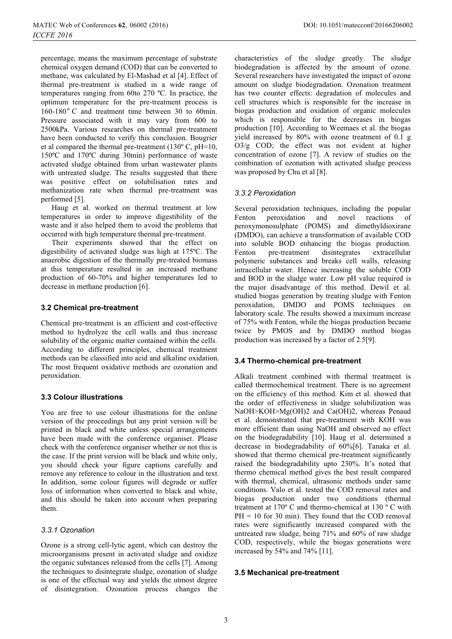percentage, means the maximum percentage of substrate chemical oxygen demand (COD) that can be converted to methane, was calculated by El-Mashad et al [4]. Effect of thermal pre-treatment is studied in a wide range of temperatures ranging from 60to 270 ºC. In practice, the optimum temperature for the pre-treatment process is  $160-180$ °C and treatment time between 30 to 60min. Pressure associated with it may vary from 600 to 2500kPa. Various researches on thermal pre-treatment have been conducted to verify this conclusion. Bougrier et al compared the thermal pre-treatment (130º C, pH=10, 150ºC and 170ºC during 30min) performance of waste activated sludge obtained from urban wastewater plants with untreated sludge. The results suggested that there was positive effect on solubilisation rates and methanization rate when thermal pre-treatment was performed [5].

Haug et al. worked on thermal treatment at low temperatures in order to improve digestibility of the waste and it also helped them to avoid the problems that occurred with high temperature thermal pre-treatment.

Their experiments showed that the effect on digestibility of activated sludge was high at 175ºC. The anaerobic digestion of the thermally pre-treated biomass at this temperature resulted in an increased methane production of 60-70% and higher temperatures led to decrease in methane production [6].

#### **3.2 Chemical pre-treatment**

Chemical pre-treatment is an efficient and cost-effective method to hydrolyze the cell walls and thus increase solubility of the organic matter contained within the cells. According to different principles, chemical treatment methods can be classified into acid and alkaline oxidation. The most frequent oxidative methods are ozonation and peroxidation.

## **3.3 Colour illustrations**

You are free to use colour illustrations for the online version of the proceedings but any print version will be printed in black and white unless special arrangements have been made with the conference organiser. Please check with the conference organiser whether or not this is the case. If the print version will be black and white only, you should check your figure captions carefully and remove any reference to colour in the illustration and text. In addition, some colour figures will degrade or suffer loss of information when converted to black and white, and this should be taken into account when preparing them.

## *3.3.1 Ozonation*

Ozone is a strong cell-lytic agent, which can destroy the microorganisms present in activated sludge and oxidize the organic substances released from the cells [7]. Among the techniques to disintegrate sludge, ozonation of sludge is one of the effectual way and yields the utmost degree of disintegration. Ozonation process changes the

characteristics of the sludge greatly. The sludge biodegradation is affected by the amount of ozone. Several researchers have investigated the impact of ozone amount on sludge biodegradation. Ozonation treatment has two counter effects: degradation of molecules and cell structures which is responsible for the increase in biogas production and oxidation of organic molecules which is responsible for the decreases in biogas production [10]. According to Weemaes et al. the biogas yield increased by 80% with ozone treatment of 0.1 g O3/g COD; the effect was not evident at higher concentration of ozone [7]. A review of studies on the combination of ozonation with activated sludge process was proposed by Chu et al [8].

#### *3.3.2 Peroxidation*

Several peroxidation techniques, including the popular Fenton peroxidation and novel reactions of peroxymonosulphate (POMS) and dimethyldioxirane (DMDO), can achieve a transformation of available COD into soluble BOD enhancing the biogas production. Fenton pre-treatment disintegrates extracellular polymeric substances and breaks cell walls, releasing intracellular water. Hence increasing the soluble COD and BOD in the sludge water. Low pH value required is the major disadvantage of this method. Dewil et al. studied biogas generation by treating sludge with Fenton peroxidation, DMDO and POMS techniques on laboratory scale. The results showed a maximum increase of 75% with Fenton, while the biogas production became twice by PMOS and by DMDO method biogas production was increased by a factor of 2.5[9].

#### **3.4 Thermo-chemical pre-treatment**

Alkali treatment combined with thermal treatment is called thermochemical treatment. There is no agreement on the efficiency of this method. Kim et al. showed that the order of effectiveness in sludge solubilization was NaOH>KOH>Mg(OH)2 and Ca(OH)2, whereas Penaud et al. demonstrated that pre-treatment with KOH was more efficient than using NaOH and observed no effect on the biodegradability [10]. Haug et al. determined a decrease in biodegradability of 60%[6]. Tanaka et al. showed that thermo chemical pre-treatment significantly raised the biodegradability upto 230%. It's noted that thermo chemical method gives the best result compared with thermal, chemical, ultrasonic methods under same conditions. Valo et al. tested the COD removal rates and biogas production under two conditions (thermal treatment at 170º C and thermo-chemical at 130 º C with  $PH = 10$  for 30 min). They found that the COD removal rates were significantly increased compared with the untreated raw sludge, being 71% and 60% of raw sludge COD, respectively, while the biogas generations were increased by 54% and 74% [11].

#### **3.5 Mechanical pre-treatment**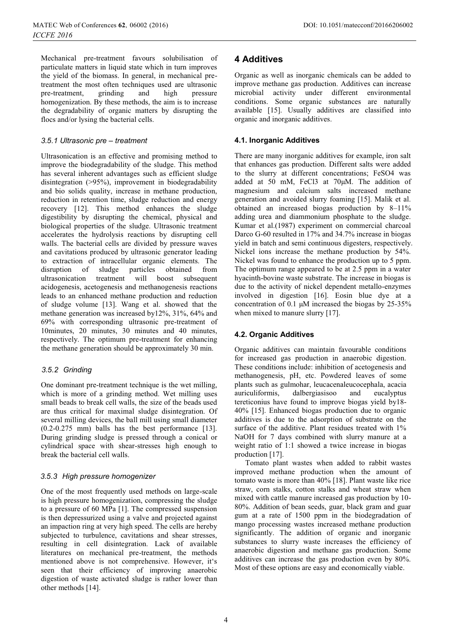Mechanical pre-treatment favours solubilisation of particulate matters in liquid state which in turn improves the yield of the biomass. In general, in mechanical pretreatment the most often techniques used are ultrasonic pre-treatment, grinding and high pressure homogenization. By these methods, the aim is to increase the degradability of organic matters by disrupting the flocs and/or lysing the bacterial cells.

### *3. .1 Ultrasonic pre – treatment 5*

Ultrasonication is an effective and promising method to improve the biodegradability of the sludge. This method has several inherent advantages such as efficient sludge disintegration (>95%), improvement in biodegradability and bio solids quality, increase in methane production, reduction in retention time, sludge reduction and energy recovery [12]. This method enhances the sludge digestibility by disrupting the chemical, physical and biological properties of the sludge. Ultrasonic treatment accelerates the hydrolysis reactions by disrupting cell walls. The bacterial cells are divided by pressure waves and cavitations produced by ultrasonic generator leading to extraction of intracellular organic elements. The of sludge particles obtained from ultrasonication treatment will boost subsequent acidogenesis, acetogenesis and methanogenesis reactions leads to an enhanced methane production and reduction of sludge volume [13]. Wang et al. showed that the methane generation was increased by12%, 31%, 64% and 69% with corresponding ultrasonic pre-treatment of 10minutes, 20 minutes, 30 minutes and 40 minutes, respectively. The optimum pre-treatment for enhancing the methane generation should be approximately 30 min.

#### *Grinding 3.5.2*

One dominant pre-treatment technique is the wet milling, which is more of a grinding method. Wet milling uses small beads to break cell walls, the size of the beads used are thus critical for maximal sludge disintegration. Of several milling devices, the ball mill using small diameter (0.2-0.275 mm) balls has the best performance [13]. During grinding sludge is pressed through a conical or cylindrical space with shear-stresses high enough to break the bacterial cell walls.

#### *High pressure homogenizer 3.5.3*

One of the most frequently used methods on large-scale is high pressure homogenization, compressing the sludge to a pressure of 60 MPa [1]. The compressed suspension is then depressurized using a valve and projected against an impaction ring at very high speed. The cells are hereby subjected to turbulence, cavitations and shear stresses, resulting in cell disintegration. Lack of available literatures on mechanical pre-treatment, the methods mentioned above is not comprehensive. However, it's seen that their efficiency of improving anaerobic digestion of waste activated sludge is rather lower than other methods [14].

## **4 Additives**

Organic as well as inorganic chemicals can be added to improve methane gas production. Additives can increase microbial activity under different environmental conditions. Some organic substances are naturally available [15]. Usually additives are classified into organic and inorganic additives.

#### **4.1. Inorganic Additives**

There are many inorganic additives for example, iron salt that enhances gas production. Different salts were added to the slurry at different concentrations; FeSO4 was added at 50 mM, FeCl3 at 70μM. The addition of magnesium and calcium salts increased methane generation and avoided slurry foaming [15]. Malik et al. obtained an increased biogas production by 8–11% adding urea and diammonium phosphate to the sludge. Kumar et al.(1987) experiment on commercial charcoal Darco G-60 resulted in 17% and 34.7% increase in biogas yield in batch and semi continuous digesters, respectively. Nickel ions increase the methane production by 54%. Nickel was found to enhance the production up to 5 ppm. The optimum range appeared to be at 2.5 ppm in a water hyacinth-bovine waste substrate. The increase in biogas is due to the activity of nickel dependent metallo-enzymes involved in digestion [16]. Eosin blue dye at a concentration of 0.1 μM increased the biogas by 25-35% when mixed to manure slurry [17].

## **4.2. Organic Additives**

Organic additives can maintain favourable conditions for increased gas production in anaerobic digestion. These conditions include: inhibition of acetogenesis and methanogenesis, pH, etc. Powdered leaves of some plants such as gulmohar, leucacenaleucocephala, acacia auriculiformis, dalbergiasisoo and eucalyptus tereticonius have found to improve biogas yield by18- 40% [15]. Enhanced biogas production due to organic additives is due to the adsorption of substrate on the surface of the additive. Plant residues treated with  $1\%$ NaOH for 7 days combined with slurry manure at a weight ratio of 1:1 showed a twice increase in biogas production [17].

Tomato plant wastes when added to rabbit wastes improved methane production when the amount of tomato waste is more than 40% [18]. Plant waste like rice straw, corn stalks, cotton stalks and wheat straw when mixed with cattle manure increased gas production by 10- 80%. Addition of bean seeds, guar, black gram and guar gum at a rate of 1500 ppm in the biodegradation of mango processing wastes increased methane production significantly. The addition of organic and inorganic substances to slurry waste increases the efficiency of anaerobic digestion and methane gas production. Some additives can increase the gas production even by 80%. Most of these options are easy and economically viable.